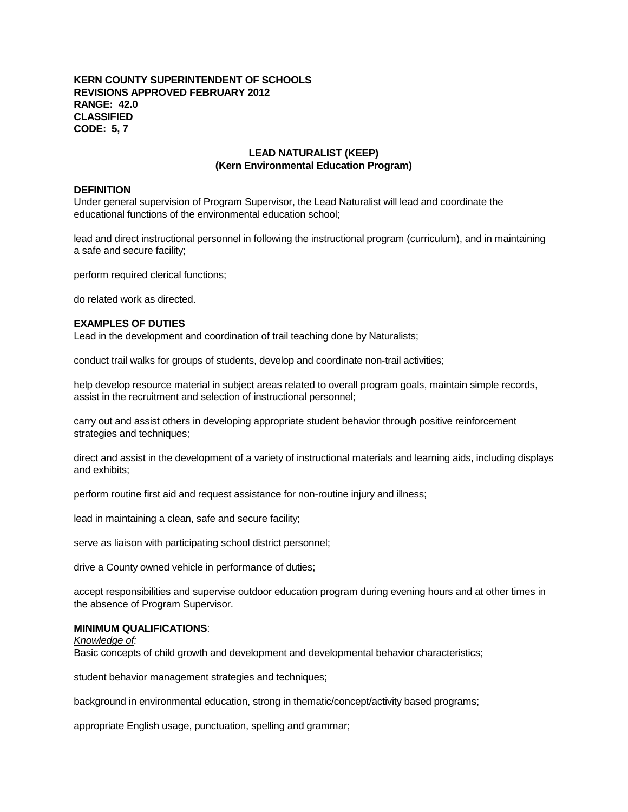## **KERN COUNTY SUPERINTENDENT OF SCHOOLS REVISIONS APPROVED FEBRUARY 2012 RANGE: 42.0 CLASSIFIED CODE: 5, 7**

# **LEAD NATURALIST (KEEP) (Kern Environmental Education Program)**

# **DEFINITION**

Under general supervision of Program Supervisor, the Lead Naturalist will lead and coordinate the educational functions of the environmental education school;

lead and direct instructional personnel in following the instructional program (curriculum), and in maintaining a safe and secure facility;

perform required clerical functions;

do related work as directed.

## **EXAMPLES OF DUTIES**

Lead in the development and coordination of trail teaching done by Naturalists;

conduct trail walks for groups of students, develop and coordinate non-trail activities;

help develop resource material in subject areas related to overall program goals, maintain simple records, assist in the recruitment and selection of instructional personnel;

carry out and assist others in developing appropriate student behavior through positive reinforcement strategies and techniques;

direct and assist in the development of a variety of instructional materials and learning aids, including displays and exhibits;

perform routine first aid and request assistance for non-routine injury and illness;

lead in maintaining a clean, safe and secure facility;

serve as liaison with participating school district personnel;

drive a County owned vehicle in performance of duties;

accept responsibilities and supervise outdoor education program during evening hours and at other times in the absence of Program Supervisor.

## **MINIMUM QUALIFICATIONS**:

*Knowledge of:*

Basic concepts of child growth and development and developmental behavior characteristics;

student behavior management strategies and techniques;

background in environmental education, strong in thematic/concept/activity based programs;

appropriate English usage, punctuation, spelling and grammar;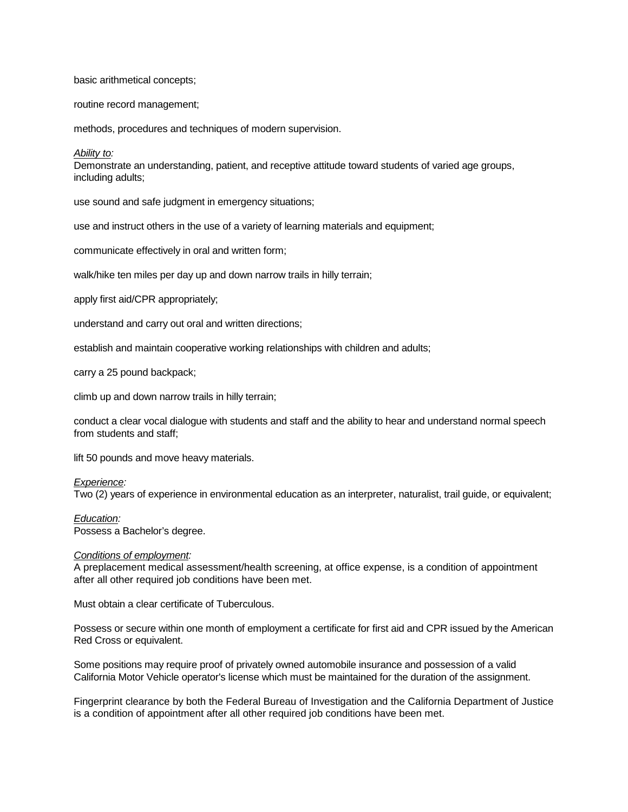### basic arithmetical concepts;

routine record management;

methods, procedures and techniques of modern supervision.

### *Ability to:*

Demonstrate an understanding, patient, and receptive attitude toward students of varied age groups, including adults;

use sound and safe judgment in emergency situations;

use and instruct others in the use of a variety of learning materials and equipment;

communicate effectively in oral and written form;

walk/hike ten miles per day up and down narrow trails in hilly terrain;

apply first aid/CPR appropriately;

understand and carry out oral and written directions;

establish and maintain cooperative working relationships with children and adults;

carry a 25 pound backpack;

climb up and down narrow trails in hilly terrain;

conduct a clear vocal dialogue with students and staff and the ability to hear and understand normal speech from students and staff;

lift 50 pounds and move heavy materials.

## *Experience:*

Two (2) years of experience in environmental education as an interpreter, naturalist, trail guide, or equivalent;

#### *Education:*

Possess a Bachelor's degree.

## *Conditions of employment:*

A preplacement medical assessment/health screening, at office expense, is a condition of appointment after all other required job conditions have been met.

Must obtain a clear certificate of Tuberculous.

Possess or secure within one month of employment a certificate for first aid and CPR issued by the American Red Cross or equivalent.

Some positions may require proof of privately owned automobile insurance and possession of a valid California Motor Vehicle operator's license which must be maintained for the duration of the assignment.

Fingerprint clearance by both the Federal Bureau of Investigation and the California Department of Justice is a condition of appointment after all other required job conditions have been met.